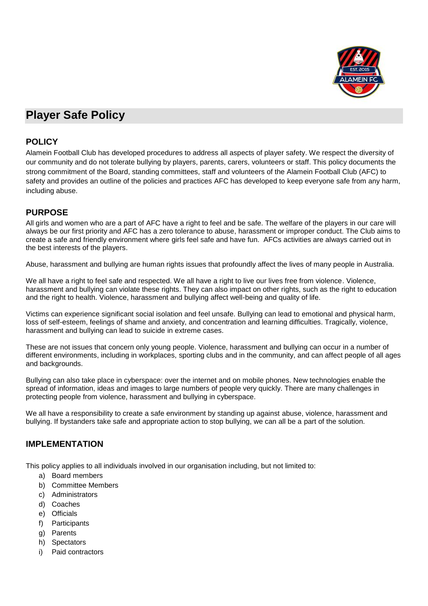

# **Player Safe Policy**

#### **POLICY**

Alamein Football Club has developed procedures to address all aspects of player safety. We respect the diversity of our community and do not tolerate bullying by players, parents, carers, volunteers or staff. This policy documents the strong commitment of the Board, standing committees, staff and volunteers of the Alamein Football Club (AFC) to safety and provides an outline of the policies and practices AFC has developed to keep everyone safe from any harm, including abuse.

## **PURPOSE**

All girls and women who are a part of AFC have a right to feel and be safe. The welfare of the players in our care will always be our first priority and AFC has a zero tolerance to abuse, harassment or improper conduct. The Club aims to create a safe and friendly environment where girls feel safe and have fun. AFCs activities are always carried out in the best interests of the players.

Abuse, harassment and bullying are human rights issues that profoundly affect the lives of many people in Australia.

We all have a right to feel safe and respected. We all have a right to live our lives free from violence. Violence, harassment and bullying can violate these rights. They can also impact on other rights, such as the right to education and the right to health. Violence, harassment and bullying affect well-being and quality of life.

Victims can experience significant social isolation and feel unsafe. Bullying can lead to emotional and physical harm, loss of self-esteem, feelings of shame and anxiety, and concentration and learning difficulties. Tragically, violence, harassment and bullying can lead to suicide in extreme cases.

These are not issues that concern only young people. Violence, harassment and bullying can occur in a number of different environments, including in workplaces, sporting clubs and in the community, and can affect people of all ages and backgrounds.

Bullying can also take place in cyberspace: over the internet and on mobile phones. New technologies enable the spread of information, ideas and images to large numbers of people very quickly. There are many challenges in protecting people from violence, harassment and bullying in cyberspace.

We all have a responsibility to create a safe environment by standing up against abuse, violence, harassment and bullying. If bystanders take safe and appropriate action to stop bullying, we can all be a part of the solution.

## **IMPLEMENTATION**

This policy applies to all individuals involved in our organisation including, but not limited to:

- a) Board members
- b) Committee Members
- c) Administrators
- d) Coaches
- e) Officials
- f) Participants
- g) Parents
- h) Spectators
- i) Paid contractors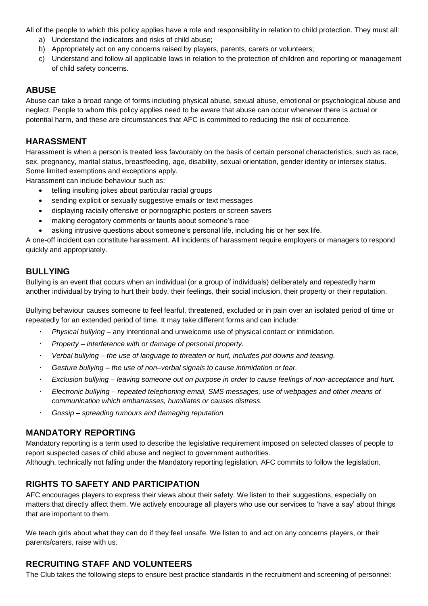All of the people to which this policy applies have a role and responsibility in relation to child protection. They must all:

- a) Understand the indicators and risks of child abuse;
- b) Appropriately act on any concerns raised by players, parents, carers or volunteers;
- c) Understand and follow all applicable laws in relation to the protection of children and reporting or management of child safety concerns.

## **ABUSE**

Abuse can take a broad range of forms including physical abuse, sexual abuse, emotional or psychological abuse and neglect. People to whom this policy applies need to be aware that abuse can occur whenever there is actual or potential harm, and these are circumstances that AFC is committed to reducing the risk of occurrence.

## **HARASSMENT**

Harassment is when a person is treated less favourably on the basis of certain personal characteristics, such as race, sex, pregnancy, marital status, breastfeeding, age, disability, sexual orientation, gender identity or intersex status. Some limited exemptions and exceptions apply.

Harassment can include behaviour such as:

- telling insulting jokes about particular racial groups
- sending explicit or sexually suggestive emails or text messages
- displaying racially offensive or pornographic posters or screen savers
- making derogatory comments or taunts about someone's race
- asking intrusive questions about someone's personal life, including his or her sex life.

A one-off incident can constitute harassment. All incidents of harassment require employers or managers to respond quickly and appropriately.

## **BULLYING**

Bullying is an event that occurs when an individual (or a group of individuals) deliberately and repeatedly harm another individual by trying to hurt their body, their feelings, their social inclusion, their property or their reputation.

Bullying behaviour causes someone to feel fearful, threatened, excluded or in pain over an isolated period of time or repeatedly for an extended period of time. It may take different forms and can include:

- *Physical bullying*  any intentional and unwelcome use of physical contact or intimidation.
- *Property – interference with or damage of personal property.*
- *Verbal bullying – the use of language to threaten or hurt, includes put downs and teasing.*
- *Gesture bullying – the use of non–verbal signals to cause intimidation or fear.*  $\ddot{\phantom{0}}$
- *Exclusion bullying – leaving someone out on purpose in order to cause feelings of non-acceptance and hurt.*
- *Electronic bullying – repeated telephoning email, SMS messages, use of webpages and other means of communication which embarrasses, humiliates or causes distress.*
- *Gossip – spreading rumours and damaging reputation.*

## **MANDATORY REPORTING**

Mandatory reporting is a term used to describe the legislative requirement imposed on selected classes of people to report suspected cases of child abuse and neglect to government authorities.

Although, technically not falling under the Mandatory reporting legislation, AFC commits to follow the legislation.

# **RIGHTS TO SAFETY AND PARTICIPATION**

AFC encourages players to express their views about their safety. We listen to their suggestions, especially on matters that directly affect them. We actively encourage all players who use our services to 'have a say' about things that are important to them.

We teach girls about what they can do if they feel unsafe. We listen to and act on any concerns players, or their parents/carers, raise with us.

# **RECRUITING STAFF AND VOLUNTEERS**

The Club takes the following steps to ensure best practice standards in the recruitment and screening of personnel: